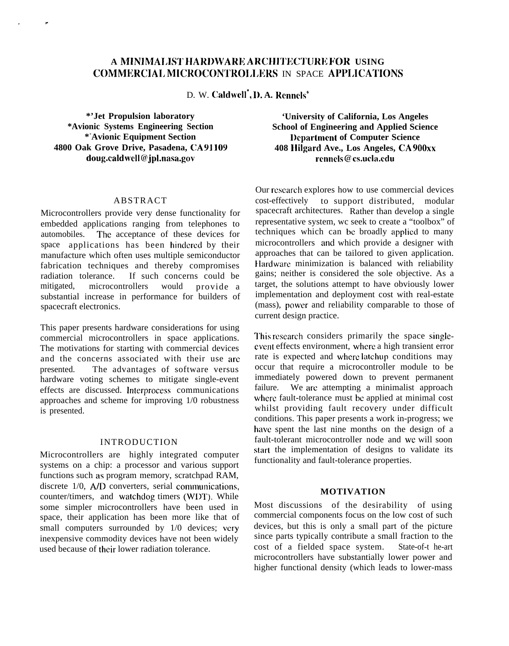# **A MINIMALIST HARDWARE ARCHITECTURE FOR USING** COMMERCIAL MICROCONTROLLERS IN SPACE APPLICATIONS

D. W. **Caldwcll", 1). A. Renncls+**

**\*'Jet Propulsion laboratory \*Avionic Systems Engineering Section \* <sup>+</sup>Avionic Equipment Section 4800 Oak Grove Drive, Pasadena, CA 91109 doug.caldwell(l?jpl.nasa.gov**

P.

#### ABSTRACT

Microcontrollers provide very dense functionality for embedded applications ranging from telephones to automobiles. The acceptance of these devices for space applications has been hindered by their manufacture which often uses multiple semiconductor fabrication techniques and thereby compromises radiation tolerance. If such concerns could be mitigated, microcontrollers would provide a substantial increase in performance for builders of spacecraft electronics.

This paper presents hardware considerations for using commercial microcontrollers in space applications. The motivations for starting with commercial devices and the concerns associated with their use are presented. The advantages of software versus hardware voting schemes to mitigate single-event effects are discussed. Interprocess communications approaches and scheme for improving 1/0 robustness is presented.

### INTRODUCTION

Microcontrollers are highly integrated computer systems on a chip: a processor and various support functions such as program memory, scratchpad RAM, discrete  $1/0$ ,  $A/D$  converters, serial communications, counter/timers, and watchdog timers (WI)T). While some simpler microcontrollers have been used in space, their application has been more like that of small computers surrounded by 1/0 devices; very inexpensive commodity devices have not been widely used because of their lower radiation tolerance.

**'University of California, Los Angeles School of Engineering and Applied Science I)cpartmcnt of Computer Science 408 I[ilgard Ave., Los Angeles, CA 900xx rennels @ cs.ucla.edu**

Our research explores how to use commercial devices cost-effectively to support distributed, modular spacecraft architectures. Rather than develop a single representative system, wc seek to create a "toolbox" of techniques which can be broadly appliecl to many microcontrollers and which provide a designer with approaches that can be tailored to given application. Hardware minimization is balanced with reliability gains; neither is considered the sole objective. As a target, the solutions attempt to have obviously lower implementation and deployment cost with real-estate (mass), power and reliability comparable to those of current design practice.

This research considers primarily the space singleevcnt effects environment, where a high transient error rate is expected and where latchup conditions may occur that require a microcontroller module to be immediately powered down to prevent permanent failure. We are attempting a minimalist approach where fault-tolerance must be applied at minimal cost whilst providing fault recovery under difficult conditions. This paper presents a work in-progress; we have spent the last nine months on the design of a fault-tolerant microcontroller node and we will soon start the implementation of designs to validate its functionality and fault-tolerance properties.

### **MOTIVATION**

Most discussions of the desirability of using commercial components focus on the low cost of such devices, but this is only a small part of the picture since parts typically contribute a small fraction to the cost of a fielded space system. State-of-t he-art microcontrollers have substantially lower power and higher functional density (which leads to lower-mass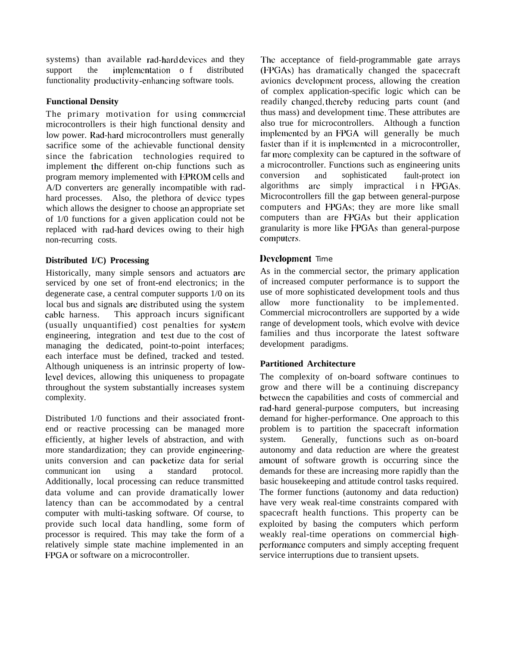systems) than available rad-hard devices and they support the implementation o f distributed functionality productivity -enhancing software tools.

## **Functional Density**

The primary motivation for using commercial microcontrollers is their high functional density and low power. Rad-hard microcontrollers must generally sacrifice some of the achievable functional density since the fabrication technologies required to implement the different on-chip functions such as program memory implemented with EPROM cells and A/D converters arc generally incompatible with radhard processes. Also, the plethora of device types which allows the designer to choose an appropriate set of 1/0 functions for a given application could not be replaced with rad-hard devices owing to their high non-recurring costs.

## **Distributed I/C) Processing**

Historically, many simple sensors and actuators are serviced by one set of front-end electronics; in the degenerate case, a central computer supports 1/0 on its local bus and signals arc distributed using the system cable harness. This approach incurs significant (usually unquantified) cost penalties for systcm engineering, integration and test due to the cost of managing the dedicated, point-to-point interfaces; each interface must be defined, tracked and tested. Although uniqueness is an intrinsic property of low-Ievel devices, allowing this uniqueness to propagate throughout the system substantially increases system complexity.

Distributed 1/0 functions and their associated frontend or reactive processing can be managed more efficiently, at higher levels of abstraction, and with more standardization; they can provide engineeringunits conversion and can packetize data for serial communicant ion using a standard protocol. Additionally, local processing can reduce transmitted data volume and can provide dramatically lower latency than can be accommodated by a central computer with multi-tasking software. Of course, to provide such local data handling, some form of processor is required. This may take the form of a relatively simple state machine implemented in an FPGA or software on a microcontroller.

The acceptance of field-programmable gate arrays (I;PGAs) has dramatically changed the spacecraft avionics development process, allowing the creation of complex application-specific logic which can be readily changed, thereby reducing parts count (and thus mass) and development time. These attributes are also true for microcontrollers. Although a function implemented by an FPGA will generally be much faster than if it is implemented in a microcontroller, far more complexity can be captured in the software of a microcontroller. Functions such as engineering units conversion and sophisticated fault-protect ion algorithms are simply impractical in FPGAs. Microcontrollers fill the gap between general-purpose computers and FPGAs; they are more like small computers than are FPGAs but their application granularity is more like FPGAs than general-purpose cornputcrs.

## **l)evelopment** Time

As in the commercial sector, the primary application of increased computer performance is to support the use of more sophisticated development tools and thus allow more functionality to be implemented. Commercial microcontrollers are supported by a wide range of development tools, which evolve with device families and thus incorporate the latest software development paradigms.

## **Partitioned Architecture**

The complexity of on-board software continues to grow and there will be a continuing discrepancy between the capabilities and costs of commercial and rad-hard general-purpose computers, but increasing demand for higher-performance. One approach to this problem is to partition the spacecraft information system. Generally, functions such as on-board autonomy and data reduction are where the greatest amount of software growth is occurring since the demands for these are increasing more rapidly than the basic housekeeping and attitude control tasks required. The former functions (autonomy and data reduction) have very weak real-time constraints compared with spacecraft health functions. This property can be exploited by basing the computers which perform weakly real-time operations on commercial highpcrformance computers and simply accepting frequent service interruptions due to transient upsets.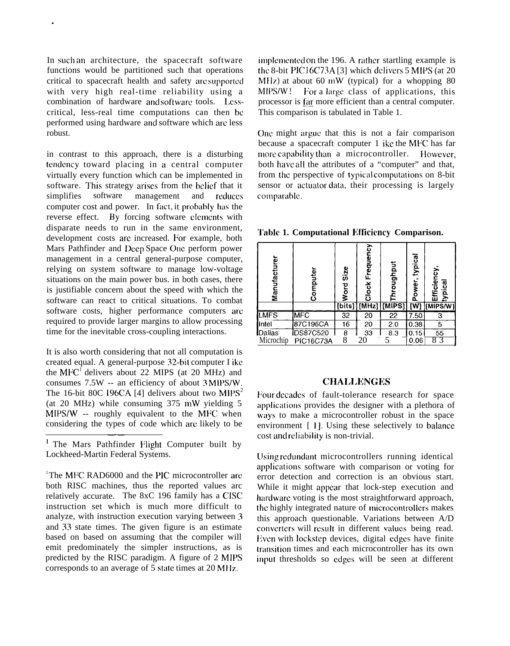In such an architecture, the spacecraft software functions would be partitioned such that operations critical to spacecraft health and safety arc supported with very high real-time reliability using a combination of hardware and software tools. Lesscritical, less-real time computations can then bc performed using hardware and software which arc less robust.

.

in contrast to this approach, there is a disturbing tendency toward placing in a central computer virtually every function which can be implemented in software. This strategy arises from the belief that it simplifies software management and reduces computer cost and power. In fact, it probably has the reverse effect. By forcing software elements with disparate needs to run in the same environment, development costs are increased. For example, both Mars Pathfinder and Deep Space One perform power management in a central general-purpose computer, relying on system software to manage low-voltage situations on the main power bus. in both cases, there is justifiable concern about the speed with which the software can react to critical situations. To combat software costs, higher performance computers arc required to provide larger margins to allow processing time for the inevitable cross-coupling interactions.

It is also worth considering that not all computation is created equal. A general-purpose 32-bit computer I ikc the  $MFC<sup>T</sup>$  delivers about 22 MIPS (at 20 MHz) and consumes 7.5W -- an efficiency of about 3 MIPS/W. The 16-bit 80C 196CA [4] delivers about two  $MIPS<sup>2</sup>$ (at 20 MHz) while consuming 375 mW yielding 5 MIPS/W -- roughly equivalent to the MFC when considering the types of code which arc likely to be ——

<sup>1</sup> The Mars Pathfinder Flight Computer built by Lockheed-Martin Federal Systems.

<sup>2</sup>The MFC RAD6000 and the PIC microcontroller are both RISC machines, thus the reported values arc relatively accurate. The 8xC 196 family has a CISC instruction set which is much more difficult to analyze, with instruction execution varying between 3 and 33 state times. The given figure is an estimate based on based on assuming that the compiler will emit predominately the simpler instructions, as is predicted by the RISC paradigm. A figure of 2 MIPS corresponds to an average of 5 state times at 20 MHz.

implemented on the 196. A rather startling example is the 8-bit PIC16C73A  $[3]$  which delivers 5 MIPS (at 20) MHz) at about 60 mW (typical) for a whopping  $80$  $MPS/W!$  For a large class of applications, this processor is  $\frac{far}{ar}$  more efficient than a central computer. This comparison is tabulated in Table 1.

Onc might argue that this is not a fair comparison because a spacecraft computer 1 ike the MFC has far more capability than a microcontroller. However, both have all the attributes of a "computer" and that, from the perspective of typical computations on 8-bit sensor or actuator data, their processing is largely comparable.

**Table 1. Computational Itfficiency Comparison.**

| Manufacturer | Computer   | Size<br>Word<br>[bits] | Clock Frequency | hroughput<br>$[MHz]$ $[MHz]$ | typical<br>ower,<br>ه<br>$\overline{[W]}$ | Efficiency<br>typical<br>[MIPS/W] |
|--------------|------------|------------------------|-----------------|------------------------------|-------------------------------------------|-----------------------------------|
| <b>LMFS</b>  | <b>MEC</b> | 32                     | 20              | $2\overline{2}$              | 7.50                                      | 3                                 |
| Intel        | 87C196CA   | 16                     | 20              | 2.0                          | 0.38                                      | 5                                 |
| Dallas       | DS87C520   | 8                      | 33              | 8.3                          | 0.15                                      | 55                                |
| Microchip    | PIC16C73A  | 8                      | 20              |                              | 0.06                                      |                                   |

### **CHALLENGES**

Four decades of fault-tolerance research for space applications provides the designer with a plethora of ways to make a microcontroller robust in the space environment  $[1]$ . Using these selectively to balance cost and reliability is non-trivial.

Using redundant microcontrollers running identical applications software with comparison or voting for error detection and correction is an obvious start. While it might appear that lock-step execution and hardware voting is the most straightforward approach, the highly integrated nature of microcontrollers makes this approach questionable. Variations between A/D converters will result in different values being read. Even with lockstep devices, digital edges have finite transition times and each microcontroller has its own input thresholds so edges will be seen at different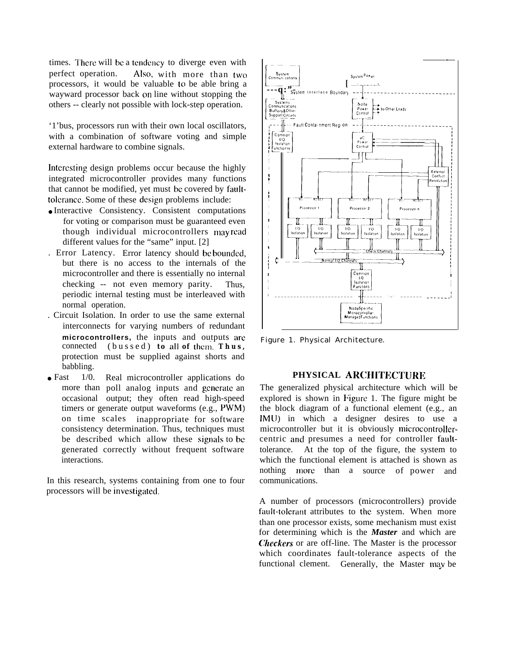times. There will be a tendency to diverge even with perfect operation. **Also,** with more than two processors, it would be valuable to be able bring a wayward processor back on line without stopping the others -- clearly not possible with lock-step operation.

'1'bus, processors run with their own local oscillators, with a combination of software voting and simple external hardware to combine signals.

Interesting design problems occur because the highly integrated microcontroller provides many functions that cannot be modified, yet must bc covered by faulttolerance. Some of these design problems include:

- Interactive Consistency. Consistent computations for voting or comparison must be guaranteed even though individual microcontrollers mayread different values for the "same" input. [2]
- . Error Latency. Error latency should be bounded, but there is no access to the internals of the microcontroller and there is essentially no internal checking -- not even memory parity. Thus, periodic internal testing must be interleaved with normal operation.
- . Circuit Isolation. In order to use the same external interconnects for varying numbers of redundant **microcontrollers,** the inputs and outputs are connected (bussed) **to all of thcni. Thus ,** protection must be supplied against shorts and babbling.
- $\bullet$  Fast  $1/0$ . more than poll analog inputs and generate an occasional output; they often read high-speed Real microcontroller applications do timers or generate output waveforms (e.g., PWM) on time scales inappropriate for software consistency determination. Thus, techniques must be described which allow these signals to be generated correctly without frequent software interactions.

In this research, systems containing from one to four processors will be investigated.



Figure 1. Physical Architecture.

# PHYSICAL ARCHITECTURE

The generalized physical architecture which will be explored is shown in Figure 1. The figure might be the block diagram of a functional element (e.g., an lMLJ) in which a designer desires to use a microcontroller but it is obviously microcontrollercentric and presumes a need for controller faulttolerance. At the top of the figure, the system to which the functional element is attached is shown as nothing more than a source of power and communications.

A number of processors (microcontrollers) provide fault-tolerant attributes to the system. When more than one processor exists, some mechanism must exist for determining which is the *Master* and which are *Checkers* or are off-line. The Master is the processor which coordinates fault-tolerance aspects of the functional clement. Generally, the Master may be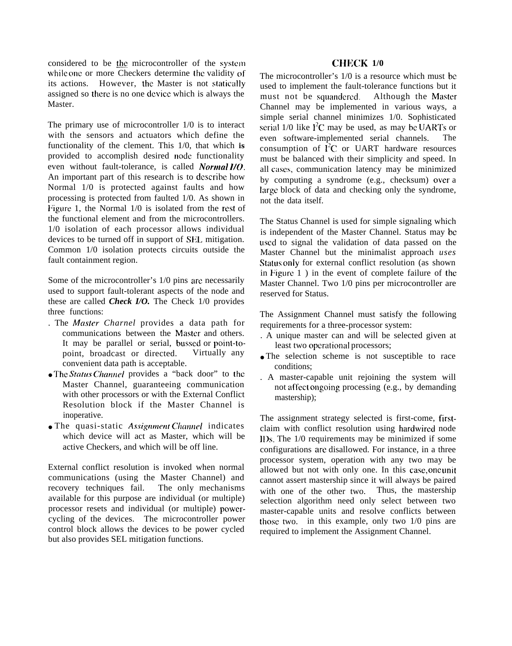considered to be the microcontroller of the system while one or more Checkers determine the validity of its actions. However, the Master is not statically assigned so there is no one device which is always the Master.

The primary use of microcontroller 1/0 is to interact with the sensors and actuators which define the functionality of the clement. This 1/0, that which **is** provided to accomplish desired node functionality even without fault-tolerance, is called *Normal 1/0*. An important part of this research is to dcscribc how Normal 1/0 is protected against faults and how processing is protected from faulted 1/0. As shown in Figure 1, the Normal 1/0 is isolated from the rest of the functional element and from the microcontrollers. 1/0 isolation of each processor allows individual devices to be turned off in support of SEL mitigation. Common 1/0 isolation protects circuits outside the fault containment region.

Some of the microcontroller's 1/0 pins arc necessarily used to support fault-tolerant aspects of the node and these are called *Check I/O.* The Check 1/0 provides three functions:

- . The *Master Charnel* provides a data path for communications between the Master and others. It may be parallel or serial, bussed or point-topoint, broadcast or directed. Virtually any convenient data path is acceptable.
- The *Statl(s Cknnel* provides a "back door" to the Master Channel, guaranteeing communication with other processors or with the External Conflict Resolution block if the Master Channel is inoperative.
- The quasi-static *Assignment Channel* indicates which device will act as Master, which will be active Checkers, and which will be off line.

External conflict resolution is invoked when normal communications (using the Master Channel) and<br>recovery techniques fail. The only mechanisms recovery techniques fail. available for this purpose are individual (or multiple) processor resets and individual (or multiple) powercycling of the devices. The microcontroller power control block allows the devices to be power cycled but also provides SEL mitigation functions.

## **CHECK 1/0**

The microcontroller's 1/0 is a resource which must be used to implement the fault-tolerance functions but it must not be squandered. Although the Master Channel may be implemented in various ways, a simple serial channel minimizes 1/0. Sophisticated serial  $1/0$  like  $I^2C$  may be used, as may be UARTs or even software-implemented serial channels. The consumption of  $\tilde{I}^2C$  or UART hardware resources must be balanced with their simplicity and speed. In all cases, communication latency may be minimized by computing a syndrome (e.g., checksum) over a large block of data and checking only the syndrome. not the data itself.

The Status Channel is used for simple signaling which is independent of the Master Channel. Status may be used to signal the validation of data passed on the Master Channel but the minimalist approach *uses* Status only for external conflict resolution (as shown in Figure 1 ) in the event of complete failure of the Master Channel. Two 1/0 pins per microcontroller are reserved for Status.

The Assignment Channel must satisfy the following requirements for a three-processor system:

- . A unique master can and will be selected given at least two operational processors;
- The selection scheme is not susceptible to race conditions;
- . A master-capable unit rejoining the system will not affect ongoing processing (e.g., by demanding mastership);

The assignment strategy selected is first-come, firstclaim with conflict resolution using hardwired node 11)s. The 1/0 requirements may be minimized if some configurations arc disallowed. For instance, in a three processor system, operation with any two may be allowed but not with only one. In this case, one unit cannot assert mastership since it will always be paired with one of the other two. Thus, the mastership selection algorithm need only select between two master-capable units and resolve conflicts between those two. in this example, only two  $1/0$  pins are required to implement the Assignment Channel.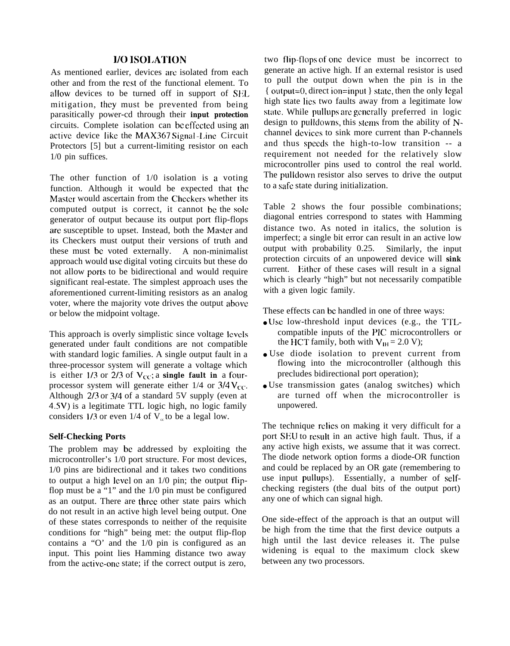### **1/0 ISOI.ATION**

As mentioned earlier, devices arc isolated from each other and from the rest of the functional element. To allow devices to be turned off in support of SEL mitigation, they must be prevented from being parasitically power-cd through their **input protection** circuits. Complete isolation can be effected using an active device like the MAX367 Signal -I.inc Circuit Protectors [5] but a current-limiting resistor on each 1/0 pin suffices.

The other function of 1/0 isolation is a voting function. Although it would be expected that the Master would ascertain from the Checkers whether its computed output is correct, it cannot be the sole generator of output because its output port flip-flops are susceptible to upset. Instead, both the Master and its Checkers must output their versions of truth and these must bc voted externally. A non-minimalist approach would use digital voting circuits but these do not allow ports to be bidirectional and would require significant real-estate. The simplest approach uses the aforementioned current-limiting resistors as an analog voter, where the majority vote drives the output above or below the midpoint voltage.

This approach is overly simplistic since voltage Icvcls generated under fault conditions are not compatible with standard logic families. A single output fault in a three-processor system will generate a voltage which is either  $1/3$  or  $2/3$  of  $V_{CC}$ ; a **single fault in** a fourprocessor system will generate either  $1/4$  or  $3/4$  V<sub>CC</sub>. Although 2/3 or 3/4 of a standard 5V supply (even at 4.5V) is a legitimate TTL logic high, no logic family considers  $1/3$  or even  $1/4$  of  $V<sub>c</sub>$  to be a legal low.

### **Self-Checking Ports**

The problem may bc addressed by exploiting the microcontroller's 1/0 port structure. For most devices, 1/0 pins are bidirectional and it takes two conditions to output a high level on an 1/0 pin; the output flipflop must be a "1" and the 1/0 pin must be configured as an output. There are three other state pairs which do not result in an active high level being output. One of these states corresponds to neither of the requisite conditions for "high" being met: the output flip-flop contains a "O' and the 1/0 pin is configured as an input. This point lies Hamming distance two away from the active-one state; if the correct output is zero,

two flip-flops of one device must be incorrect to generate an active high. If an external resistor is used to pull the output down when the pin is in the { output=0, direct ion=input } state, then the only legal high state Iics two faults away from a legitimate low state. While pullups are generally preferred in logic design to pulldowns, this stems from the ability of Nchannel devices to sink more current than P-channels and thus speeds the high-to-low transition -- a requirement not needed for the relatively slow microcontroller pins used to control the real world. The pulldown resistor also serves to drive the output to a safe state during initialization.

Table 2 shows the four possible combinations; diagonal entries correspond to states with Hamming distance two. As noted in italics, the solution is imperfect; a single bit error can result in an active low output with probability 0.25. Similarly, the input protection circuits of an unpowered device will **sink** current. Either of these cases will result in a signal which is clearly "high" but not necessarily compatible with a given logic family.

These effects can bc handled in one of three ways:

- $\bullet$  Use low-threshold input devices (e.g., the TTLcompatible inputs of the PIC microcontrollers or the HCT family, both with  $V_{\text{IH}} = 2.0 \text{ V}$ ;
- Use diode isolation to prevent current from flowing into the microcontroller (although this precludes bidirectional port operation);
- Use transmission gates (analog switches) which are turned off when the microcontroller is unpowered.

The technique relies on making it very difficult for a port SEU to result in an active high fault. Thus, if a any active high exists, we assume that it was correct. The diode network option forms a diode-OR function and could be replaced by an OR gate (remembering to use input pullups). Essentially, a number of selfchecking registers (the dual bits of the output port) any one of which can signal high.

One side-effect of the approach is that an output will be high from the time that the first device outputs a high until the last device releases it. The pulse widening is equal to the maximum clock skew between any two processors.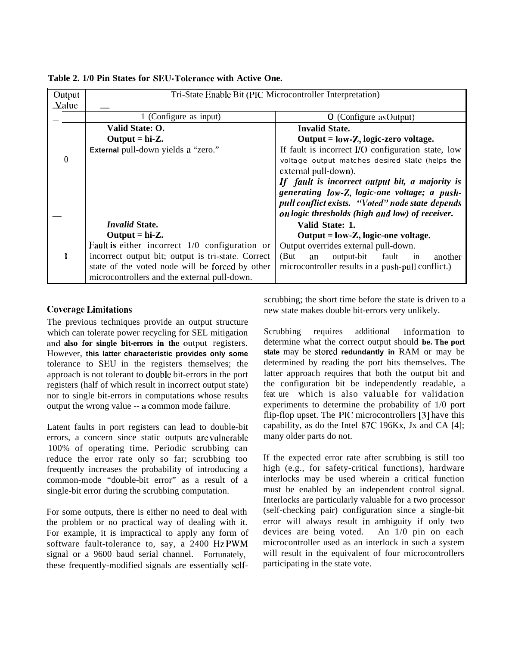| Output<br>$\Delta$ alue |                                                    | Tri-State Enable Bit (PIC Microcontroller Interpretation) |  |  |  |
|-------------------------|----------------------------------------------------|-----------------------------------------------------------|--|--|--|
|                         | 1 (Configure as input)                             | O (Configure as Output)                                   |  |  |  |
|                         | Valid State: O.                                    | <b>Invalid State.</b>                                     |  |  |  |
|                         | Output = $hi-Z$ .                                  | Output = low-Z, logic-zero voltage.                       |  |  |  |
|                         | External pull-down yields a "zero."                | If fault is incorrect I/O configuration state, low        |  |  |  |
| $\mathbf{0}$            |                                                    | voltage output matches desired state (helps the           |  |  |  |
|                         |                                                    | external pull-down).                                      |  |  |  |
|                         |                                                    | If fault is incorrect output bit, a majority is           |  |  |  |
|                         |                                                    | generating low-Z, logic-one voltage; a push-              |  |  |  |
|                         |                                                    | pull conflict exists. "Voted" node state depends          |  |  |  |
|                         |                                                    | on logic thresholds (high and low) of receiver.           |  |  |  |
|                         | <b>Invalid State.</b>                              | Valid State: 1.                                           |  |  |  |
|                         | Output = $hi-Z$ .                                  | Output = $low-Z$ , logic-one voltage.                     |  |  |  |
|                         | Fault is either incorrect $1/0$ configuration or   | Output overrides external pull-down.                      |  |  |  |
|                         | incorrect output bit; output is tri-state. Correct | output-bit<br>fault<br>(But)<br>in<br>another<br>an       |  |  |  |
|                         | state of the voted node will be forced by other    | microcontroller results in a push-pull conflict.)         |  |  |  |
|                         | microcontrollers and the external pull-down.       |                                                           |  |  |  |

## **Table 2. 1/0 Pin States for SELJ-Tolerance with Active One.**

## **Coverage I.imitations**

The previous techniques provide an output structure which can tolerate power recycling for SEL mitigation and also for single bit-errors in the output registers. However, **this latter characteristic provides only some** tolerance to SEU in the registers themselves; the approach is not tolerant to double bit-errors in the port registers (half of which result in incorrect output state) nor to single bit-errors in computations whose results output the wrong value -- a common mode failure.

Latent faults in port registers can lead to double-bit errors, a concern since static outputs arc vulnerable 100% of operating time. Periodic scrubbing can reduce the error rate only so far; scrubbing too frequently increases the probability of introducing a common-mode "double-bit error" as a result of a single-bit error during the scrubbing computation.

For some outputs, there is either no need to deal with the problem or no practical way of dealing with it. For example, it is impractical to apply any form of software fault-tolerance to, say, a 2400 Hz PWM signal or a 9600 baud serial channel. Fortunately, these frequently-modified signals are essentially selfscrubbing; the short time before the state is driven to a new state makes double bit-errors very unlikely.

Scrubbing requires additional information to determine what the correct output should **be. The port state** may be **stored redundantly in** RAM or may be determined by reading the port bits themselves. The latter approach requires that both the output bit and the configuration bit be independently readable, a feat ure which is also valuable for validation experiments to determine the probability of 1/0 port flip-flop upset. The PIC microcontrollers [3] have this capability, as do the Intel 87C 196Kx, Jx and CA [4]; many older parts do not.

If the expected error rate after scrubbing is still too high (e.g., for safety-critical functions), hardware interlocks may be used wherein a critical function must be enabled by an independent control signal. Interlocks are particularly valuable for a two processor (self-checking pair) configuration since a single-bit error will always result in ambiguity if only two devices are being voted. An 1/0 pin on each microcontroller used as an interlock in such a system will result in the equivalent of four microcontrollers participating in the state vote.